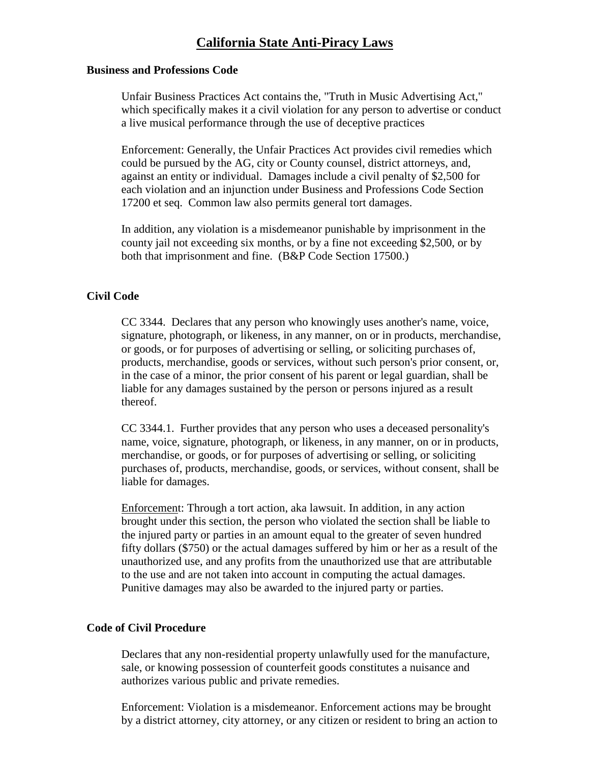# **California State Anti-Piracy Laws**

## **Business and Professions Code**

Unfair Business Practices Act contains the, "Truth in Music Advertising Act," which specifically makes it a civil violation for any person to advertise or conduct a live musical performance through the use of deceptive practices

Enforcement: Generally, the Unfair Practices Act provides civil remedies which could be pursued by the AG, city or County counsel, district attorneys, and, against an entity or individual. Damages include a civil penalty of \$2,500 for each violation and an injunction under Business and Professions Code Section 17200 et seq. Common law also permits general tort damages.

In addition, any violation is a misdemeanor punishable by imprisonment in the county jail not exceeding six months, or by a fine not exceeding \$2,500, or by both that imprisonment and fine. (B&P Code Section 17500.)

# **Civil Code**

CC 3344. Declares that any person who knowingly uses another's name, voice, signature, photograph, or likeness, in any manner, on or in products, merchandise, or goods, or for purposes of advertising or selling, or soliciting purchases of, products, merchandise, goods or services, without such person's prior consent, or, in the case of a minor, the prior consent of his parent or legal guardian, shall be liable for any damages sustained by the person or persons injured as a result thereof.

CC 3344.1. Further provides that any person who uses a deceased personality's name, voice, signature, photograph, or likeness, in any manner, on or in products, merchandise, or goods, or for purposes of advertising or selling, or soliciting purchases of, products, merchandise, goods, or services, without consent, shall be liable for damages.

Enforcement: Through a tort action, aka lawsuit. In addition, in any action brought under this section, the person who violated the section shall be liable to the injured party or parties in an amount equal to the greater of seven hundred fifty dollars (\$750) or the actual damages suffered by him or her as a result of the unauthorized use, and any profits from the unauthorized use that are attributable to the use and are not taken into account in computing the actual damages. Punitive damages may also be awarded to the injured party or parties.

## **Code of Civil Procedure**

 Declares that any non-residential property unlawfully used for the manufacture, sale, or knowing possession of counterfeit goods constitutes a nuisance and authorizes various public and private remedies.

Enforcement: Violation is a misdemeanor. Enforcement actions may be brought by a district attorney, city attorney, or any citizen or resident to bring an action to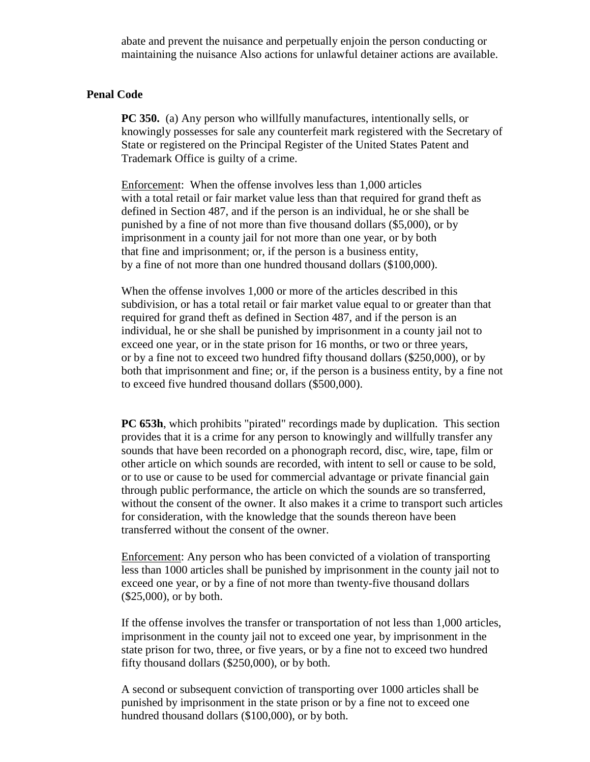abate and prevent the nuisance and perpetually enjoin the person conducting or maintaining the nuisance Also actions for unlawful detainer actions are available.

#### **Penal Code**

**PC 350.** (a) Any person who willfully manufactures, intentionally sells, or knowingly possesses for sale any counterfeit mark registered with the Secretary of State or registered on the Principal Register of the United States Patent and Trademark Office is guilty of a crime.

Enforcement: When the offense involves less than 1,000 articles with a total retail or fair market value less than that required for grand theft as defined in Section 487, and if the person is an individual, he or she shall be punished by a fine of not more than five thousand dollars (\$5,000), or by imprisonment in a county jail for not more than one year, or by both that fine and imprisonment; or, if the person is a business entity, by a fine of not more than one hundred thousand dollars (\$100,000).

When the offense involves 1,000 or more of the articles described in this subdivision, or has a total retail or fair market value equal to or greater than that required for grand theft as defined in Section 487, and if the person is an individual, he or she shall be punished by imprisonment in a county jail not to exceed one year, or in the state prison for 16 months, or two or three years, or by a fine not to exceed two hundred fifty thousand dollars (\$250,000), or by both that imprisonment and fine; or, if the person is a business entity, by a fine not to exceed five hundred thousand dollars (\$500,000).

**PC 653h**, which prohibits "pirated" recordings made by duplication. This section provides that it is a crime for any person to knowingly and willfully transfer any sounds that have been recorded on a phonograph record, disc, wire, tape, film or other article on which sounds are recorded, with intent to sell or cause to be sold, or to use or cause to be used for commercial advantage or private financial gain through public performance, the article on which the sounds are so transferred, without the consent of the owner. It also makes it a crime to transport such articles for consideration, with the knowledge that the sounds thereon have been transferred without the consent of the owner.

Enforcement: Any person who has been convicted of a violation of transporting less than 1000 articles shall be punished by imprisonment in the county jail not to exceed one year, or by a fine of not more than twenty-five thousand dollars (\$25,000), or by both.

If the offense involves the transfer or transportation of not less than 1,000 articles, imprisonment in the county jail not to exceed one year, by imprisonment in the state prison for two, three, or five years, or by a fine not to exceed two hundred fifty thousand dollars (\$250,000), or by both.

A second or subsequent conviction of transporting over 1000 articles shall be punished by imprisonment in the state prison or by a fine not to exceed one hundred thousand dollars (\$100,000), or by both.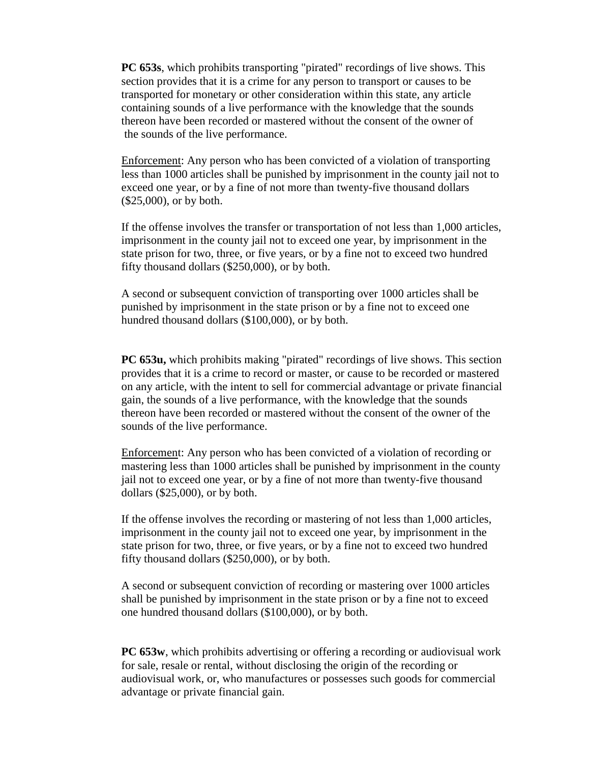**PC 653s**, which prohibits transporting "pirated" recordings of live shows. This section provides that it is a crime for any person to transport or causes to be transported for monetary or other consideration within this state, any article containing sounds of a live performance with the knowledge that the sounds thereon have been recorded or mastered without the consent of the owner of the sounds of the live performance.

Enforcement: Any person who has been convicted of a violation of transporting less than 1000 articles shall be punished by imprisonment in the county jail not to exceed one year, or by a fine of not more than twenty-five thousand dollars (\$25,000), or by both.

If the offense involves the transfer or transportation of not less than 1,000 articles, imprisonment in the county jail not to exceed one year, by imprisonment in the state prison for two, three, or five years, or by a fine not to exceed two hundred fifty thousand dollars (\$250,000), or by both.

A second or subsequent conviction of transporting over 1000 articles shall be punished by imprisonment in the state prison or by a fine not to exceed one hundred thousand dollars (\$100,000), or by both.

**PC 653u,** which prohibits making "pirated" recordings of live shows. This section provides that it is a crime to record or master, or cause to be recorded or mastered on any article, with the intent to sell for commercial advantage or private financial gain, the sounds of a live performance, with the knowledge that the sounds thereon have been recorded or mastered without the consent of the owner of the sounds of the live performance.

Enforcement: Any person who has been convicted of a violation of recording or mastering less than 1000 articles shall be punished by imprisonment in the county jail not to exceed one year, or by a fine of not more than twenty-five thousand dollars (\$25,000), or by both.

If the offense involves the recording or mastering of not less than 1,000 articles, imprisonment in the county jail not to exceed one year, by imprisonment in the state prison for two, three, or five years, or by a fine not to exceed two hundred fifty thousand dollars (\$250,000), or by both.

A second or subsequent conviction of recording or mastering over 1000 articles shall be punished by imprisonment in the state prison or by a fine not to exceed one hundred thousand dollars (\$100,000), or by both.

**PC 653w**, which prohibits advertising or offering a recording or audiovisual work for sale, resale or rental, without disclosing the origin of the recording or audiovisual work, or, who manufactures or possesses such goods for commercial advantage or private financial gain.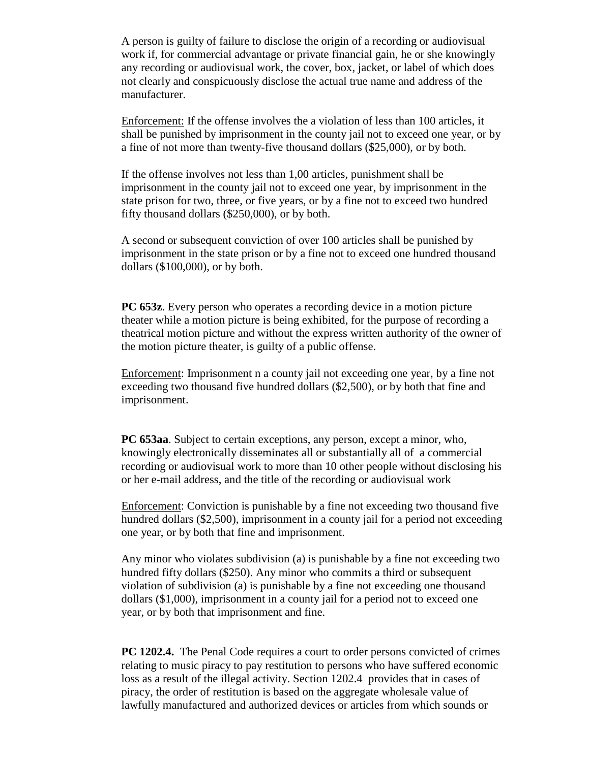A person is guilty of failure to disclose the origin of a recording or audiovisual work if, for commercial advantage or private financial gain, he or she knowingly any recording or audiovisual work, the cover, box, jacket, or label of which does not clearly and conspicuously disclose the actual true name and address of the manufacturer.

Enforcement: If the offense involves the a violation of less than 100 articles, it shall be punished by imprisonment in the county jail not to exceed one year, or by a fine of not more than twenty-five thousand dollars (\$25,000), or by both.

If the offense involves not less than 1,00 articles, punishment shall be imprisonment in the county jail not to exceed one year, by imprisonment in the state prison for two, three, or five years, or by a fine not to exceed two hundred fifty thousand dollars (\$250,000), or by both.

A second or subsequent conviction of over 100 articles shall be punished by imprisonment in the state prison or by a fine not to exceed one hundred thousand dollars (\$100,000), or by both.

**PC 653z**. Every person who operates a recording device in a motion picture theater while a motion picture is being exhibited, for the purpose of recording a theatrical motion picture and without the express written authority of the owner of the motion picture theater, is guilty of a public offense.

Enforcement: Imprisonment n a county jail not exceeding one year, by a fine not exceeding two thousand five hundred dollars (\$2,500), or by both that fine and imprisonment.

**PC 653aa**. Subject to certain exceptions, any person, except a minor, who, knowingly electronically disseminates all or substantially all of a commercial recording or audiovisual work to more than 10 other people without disclosing his or her e-mail address, and the title of the recording or audiovisual work

Enforcement: Conviction is punishable by a fine not exceeding two thousand five hundred dollars (\$2,500), imprisonment in a county jail for a period not exceeding one year, or by both that fine and imprisonment.

Any minor who violates subdivision (a) is punishable by a fine not exceeding two hundred fifty dollars (\$250). Any minor who commits a third or subsequent violation of subdivision (a) is punishable by a fine not exceeding one thousand dollars (\$1,000), imprisonment in a county jail for a period not to exceed one year, or by both that imprisonment and fine.

**PC 1202.4.** The Penal Code requires a court to order persons convicted of crimes relating to music piracy to pay restitution to persons who have suffered economic loss as a result of the illegal activity. Section 1202.4 provides that in cases of piracy, the order of restitution is based on the aggregate wholesale value of lawfully manufactured and authorized devices or articles from which sounds or